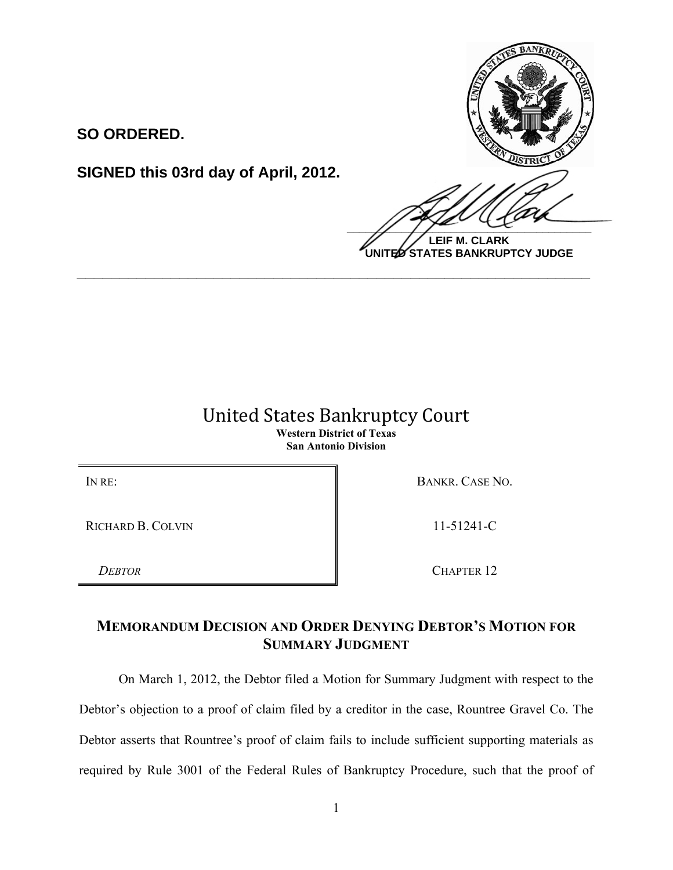**SO ORDERED.**

**SIGNED this 03rd day of April, 2012.**



**LEIF M. CLARK UNITED STATES BANKRUPTCY JUDGE**

## United States Bankruptcy Court **Western District of Texas San Antonio Division**

**\_\_\_\_\_\_\_\_\_\_\_\_\_\_\_\_\_\_\_\_\_\_\_\_\_\_\_\_\_\_\_\_\_\_\_\_\_\_\_\_\_\_\_\_\_\_\_\_\_\_\_\_\_\_\_\_\_\_\_\_**

RICHARD B. COLVIN 11-51241-C

IN RE: BANKR. CASE NO.

*DEBTOR* CHAPTER 12

## **MEMORANDUM DECISION AND ORDER DENYING DEBTOR'S MOTION FOR SUMMARY JUDGMENT**

On March 1, 2012, the Debtor filed a Motion for Summary Judgment with respect to the Debtor's objection to a proof of claim filed by a creditor in the case, Rountree Gravel Co. The Debtor asserts that Rountree's proof of claim fails to include sufficient supporting materials as required by Rule 3001 of the Federal Rules of Bankruptcy Procedure, such that the proof of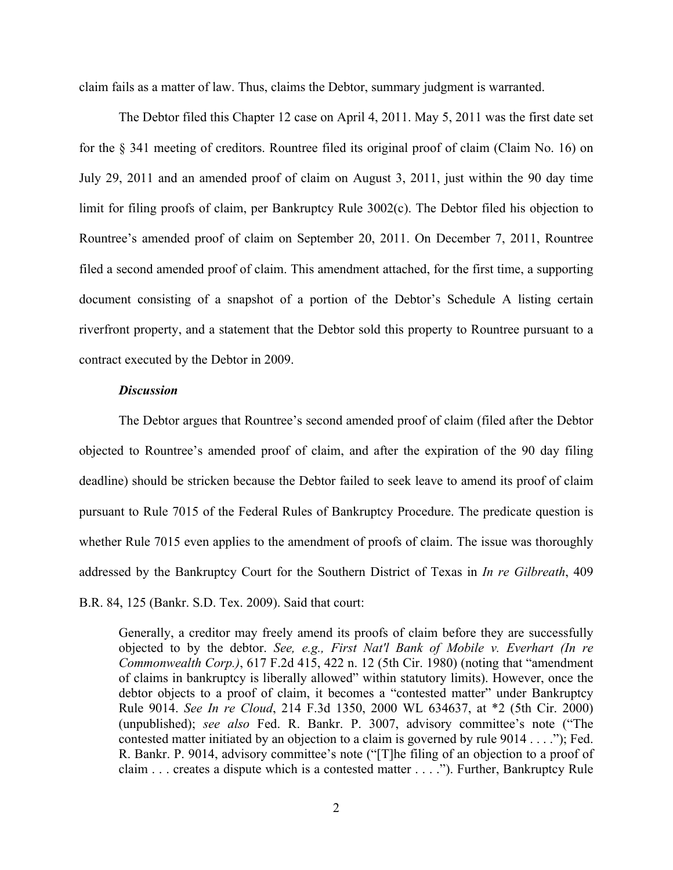claim fails as a matter of law. Thus, claims the Debtor, summary judgment is warranted.

The Debtor filed this Chapter 12 case on April 4, 2011. May 5, 2011 was the first date set for the § 341 meeting of creditors. Rountree filed its original proof of claim (Claim No. 16) on July 29, 2011 and an amended proof of claim on August 3, 2011, just within the 90 day time limit for filing proofs of claim, per Bankruptcy Rule 3002(c). The Debtor filed his objection to Rountree's amended proof of claim on September 20, 2011. On December 7, 2011, Rountree filed a second amended proof of claim. This amendment attached, for the first time, a supporting document consisting of a snapshot of a portion of the Debtor's Schedule A listing certain riverfront property, and a statement that the Debtor sold this property to Rountree pursuant to a contract executed by the Debtor in 2009.

## *Discussion*

The Debtor argues that Rountree's second amended proof of claim (filed after the Debtor objected to Rountree's amended proof of claim, and after the expiration of the 90 day filing deadline) should be stricken because the Debtor failed to seek leave to amend its proof of claim pursuant to Rule 7015 of the Federal Rules of Bankruptcy Procedure. The predicate question is whether Rule 7015 even applies to the amendment of proofs of claim. The issue was thoroughly addressed by the Bankruptcy Court for the Southern District of Texas in *In re Gilbreath*, 409 B.R. 84, 125 (Bankr. S.D. Tex. 2009). Said that court:

Generally, a creditor may freely amend its proofs of claim before they are successfully objected to by the debtor. *See, e.g., First Nat'l Bank of Mobile v. Everhart (In re Commonwealth Corp.)*, 617 F.2d 415, 422 n. 12 (5th Cir. 1980) (noting that "amendment of claims in bankruptcy is liberally allowed" within statutory limits). However, once the debtor objects to a proof of claim, it becomes a "contested matter" under Bankruptcy Rule 9014. *See In re Cloud*, 214 F.3d 1350, 2000 WL 634637, at \*2 (5th Cir. 2000) (unpublished); *see also* Fed. R. Bankr. P. 3007, advisory committee's note ("The contested matter initiated by an objection to a claim is governed by rule 9014 . . . ."); Fed. R. Bankr. P. 9014, advisory committee's note ("[T]he filing of an objection to a proof of claim . . . creates a dispute which is a contested matter . . . ."). Further, Bankruptcy Rule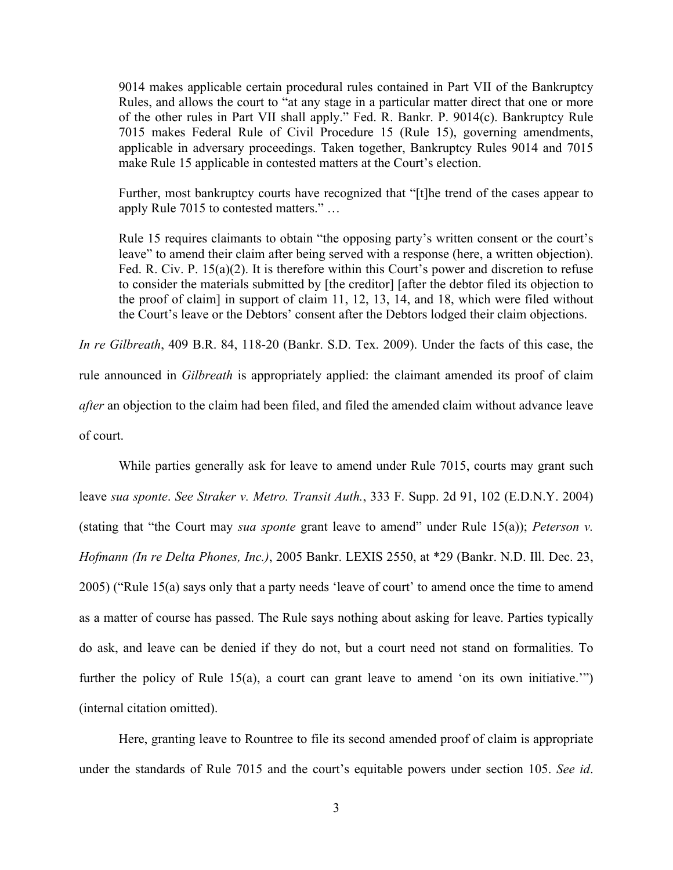9014 makes applicable certain procedural rules contained in Part VII of the Bankruptcy Rules, and allows the court to "at any stage in a particular matter direct that one or more of the other rules in Part VII shall apply." Fed. R. Bankr. P. 9014(c). Bankruptcy Rule 7015 makes Federal Rule of Civil Procedure 15 (Rule 15), governing amendments, applicable in adversary proceedings. Taken together, Bankruptcy Rules 9014 and 7015 make Rule 15 applicable in contested matters at the Court's election.

Further, most bankruptcy courts have recognized that "[t]he trend of the cases appear to apply Rule 7015 to contested matters." …

Rule 15 requires claimants to obtain "the opposing party's written consent or the court's leave" to amend their claim after being served with a response (here, a written objection). Fed. R. Civ. P. 15(a)(2). It is therefore within this Court's power and discretion to refuse to consider the materials submitted by [the creditor] [after the debtor filed its objection to the proof of claim] in support of claim 11, 12, 13, 14, and 18, which were filed without the Court's leave or the Debtors' consent after the Debtors lodged their claim objections.

*In re Gilbreath*, 409 B.R. 84, 118-20 (Bankr. S.D. Tex. 2009). Under the facts of this case, the rule announced in *Gilbreath* is appropriately applied: the claimant amended its proof of claim *after* an objection to the claim had been filed, and filed the amended claim without advance leave of court.

While parties generally ask for leave to amend under Rule 7015, courts may grant such leave *sua sponte*. *See Straker v. Metro. Transit Auth.*, 333 F. Supp. 2d 91, 102 (E.D.N.Y. 2004) (stating that "the Court may *sua sponte* grant leave to amend" under Rule 15(a)); *Peterson v. Hofmann (In re Delta Phones, Inc.)*, 2005 Bankr. LEXIS 2550, at \*29 (Bankr. N.D. Ill. Dec. 23, 2005) ("Rule 15(a) says only that a party needs 'leave of court' to amend once the time to amend as a matter of course has passed. The Rule says nothing about asking for leave. Parties typically do ask, and leave can be denied if they do not, but a court need not stand on formalities. To further the policy of Rule 15(a), a court can grant leave to amend 'on its own initiative.'" (internal citation omitted).

Here, granting leave to Rountree to file its second amended proof of claim is appropriate under the standards of Rule 7015 and the court's equitable powers under section 105. *See id*.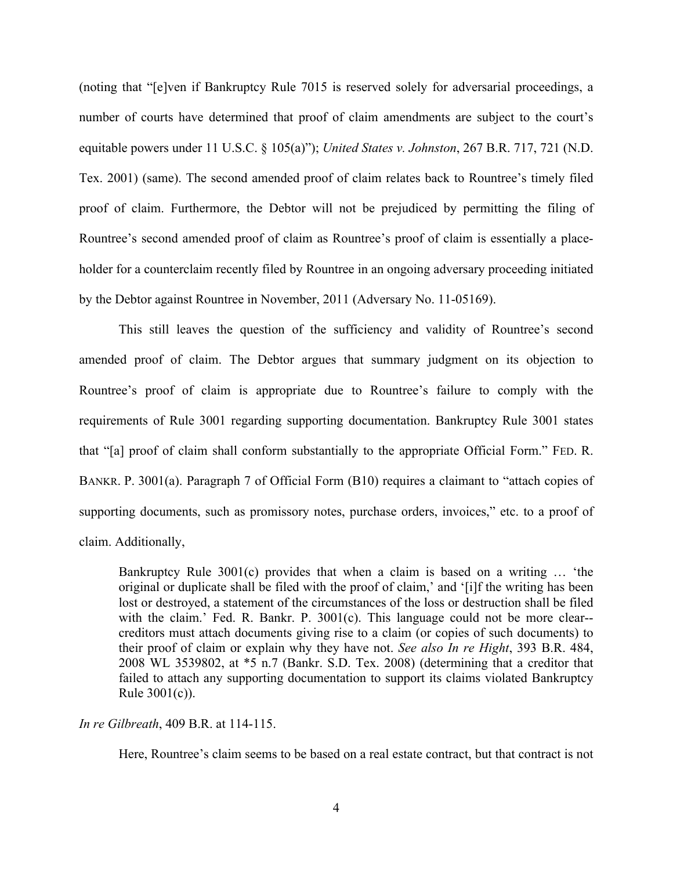(noting that "[e]ven if Bankruptcy Rule 7015 is reserved solely for adversarial proceedings, a number of courts have determined that proof of claim amendments are subject to the court's equitable powers under 11 U.S.C. § 105(a)"); *United States v. Johnston*, 267 B.R. 717, 721 (N.D. Tex. 2001) (same). The second amended proof of claim relates back to Rountree's timely filed proof of claim. Furthermore, the Debtor will not be prejudiced by permitting the filing of Rountree's second amended proof of claim as Rountree's proof of claim is essentially a placeholder for a counterclaim recently filed by Rountree in an ongoing adversary proceeding initiated by the Debtor against Rountree in November, 2011 (Adversary No. 11-05169).

This still leaves the question of the sufficiency and validity of Rountree's second amended proof of claim. The Debtor argues that summary judgment on its objection to Rountree's proof of claim is appropriate due to Rountree's failure to comply with the requirements of Rule 3001 regarding supporting documentation. Bankruptcy Rule 3001 states that "[a] proof of claim shall conform substantially to the appropriate Official Form." FED. R. BANKR. P. 3001(a). Paragraph 7 of Official Form (B10) requires a claimant to "attach copies of supporting documents, such as promissory notes, purchase orders, invoices," etc. to a proof of claim. Additionally,

Bankruptcy Rule 3001(c) provides that when a claim is based on a writing … 'the original or duplicate shall be filed with the proof of claim,' and '[i]f the writing has been lost or destroyed, a statement of the circumstances of the loss or destruction shall be filed with the claim.' Fed. R. Bankr. P. 3001(c). This language could not be more clear-creditors must attach documents giving rise to a claim (or copies of such documents) to their proof of claim or explain why they have not. *See also In re Hight*, 393 B.R. 484, 2008 WL 3539802, at \*5 n.7 (Bankr. S.D. Tex. 2008) (determining that a creditor that failed to attach any supporting documentation to support its claims violated Bankruptcy Rule 3001(c)).

*In re Gilbreath*, 409 B.R. at 114-115.

Here, Rountree's claim seems to be based on a real estate contract, but that contract is not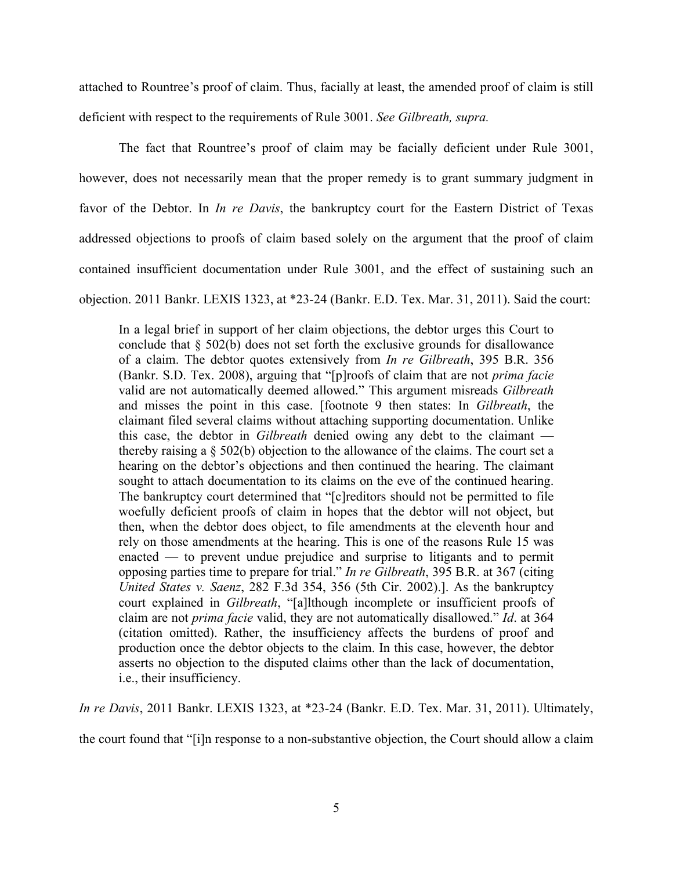attached to Rountree's proof of claim. Thus, facially at least, the amended proof of claim is still deficient with respect to the requirements of Rule 3001. *See Gilbreath, supra.*

The fact that Rountree's proof of claim may be facially deficient under Rule 3001, however, does not necessarily mean that the proper remedy is to grant summary judgment in favor of the Debtor. In *In re Davis*, the bankruptcy court for the Eastern District of Texas addressed objections to proofs of claim based solely on the argument that the proof of claim contained insufficient documentation under Rule 3001, and the effect of sustaining such an objection. 2011 Bankr. LEXIS 1323, at \*23-24 (Bankr. E.D. Tex. Mar. 31, 2011). Said the court:

In a legal brief in support of her claim objections, the debtor urges this Court to conclude that § 502(b) does not set forth the exclusive grounds for disallowance of a claim. The debtor quotes extensively from *In re Gilbreath*, 395 B.R. 356 (Bankr. S.D. Tex. 2008), arguing that "[p]roofs of claim that are not *prima facie* valid are not automatically deemed allowed." This argument misreads *Gilbreath* and misses the point in this case. [footnote 9 then states: In *Gilbreath*, the claimant filed several claims without attaching supporting documentation. Unlike this case, the debtor in *Gilbreath* denied owing any debt to the claimant thereby raising a § 502(b) objection to the allowance of the claims. The court set a hearing on the debtor's objections and then continued the hearing. The claimant sought to attach documentation to its claims on the eve of the continued hearing. The bankruptcy court determined that "[c]reditors should not be permitted to file woefully deficient proofs of claim in hopes that the debtor will not object, but then, when the debtor does object, to file amendments at the eleventh hour and rely on those amendments at the hearing. This is one of the reasons Rule 15 was enacted — to prevent undue prejudice and surprise to litigants and to permit opposing parties time to prepare for trial." *In re Gilbreath*, 395 B.R. at 367 (citing *United States v. Saenz*, 282 F.3d 354, 356 (5th Cir. 2002).]. As the bankruptcy court explained in *Gilbreath*, "[a]lthough incomplete or insufficient proofs of claim are not *prima facie* valid, they are not automatically disallowed." *Id*. at 364 (citation omitted). Rather, the insufficiency affects the burdens of proof and production once the debtor objects to the claim. In this case, however, the debtor asserts no objection to the disputed claims other than the lack of documentation, i.e., their insufficiency.

*In re Davis*, 2011 Bankr. LEXIS 1323, at \*23-24 (Bankr. E.D. Tex. Mar. 31, 2011). Ultimately,

the court found that "[i]n response to a non-substantive objection, the Court should allow a claim